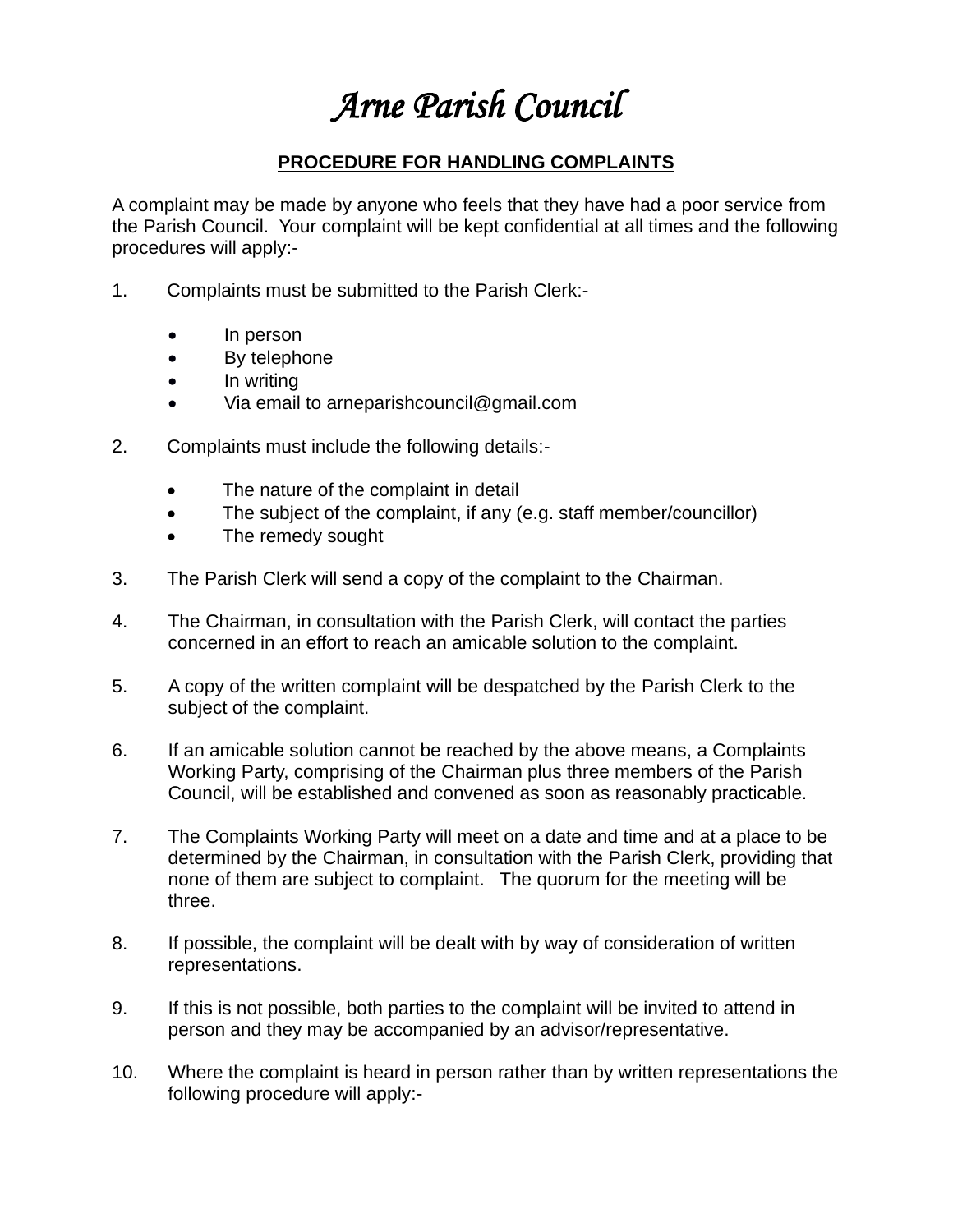# *Arne Parish Council*

### **PROCEDURE FOR HANDLING COMPLAINTS**

A complaint may be made by anyone who feels that they have had a poor service from the Parish Council. Your complaint will be kept confidential at all times and the following procedures will apply:-

- 1. Complaints must be submitted to the Parish Clerk:-
	- In person
	- By telephone
	- In writing
	- Via email to arneparishcouncil@gmail.com
- 2. Complaints must include the following details:-
	- The nature of the complaint in detail
	- The subject of the complaint, if any (e.g. staff member/councillor)
	- The remedy sought
- 3. The Parish Clerk will send a copy of the complaint to the Chairman.
- 4. The Chairman, in consultation with the Parish Clerk, will contact the parties concerned in an effort to reach an amicable solution to the complaint.
- 5. A copy of the written complaint will be despatched by the Parish Clerk to the subject of the complaint.
- 6. If an amicable solution cannot be reached by the above means, a Complaints Working Party, comprising of the Chairman plus three members of the Parish Council, will be established and convened as soon as reasonably practicable.
- 7. The Complaints Working Party will meet on a date and time and at a place to be determined by the Chairman, in consultation with the Parish Clerk, providing that none of them are subject to complaint. The quorum for the meeting will be three.
- 8. If possible, the complaint will be dealt with by way of consideration of written representations.
- 9. If this is not possible, both parties to the complaint will be invited to attend in person and they may be accompanied by an advisor/representative.
- 10. Where the complaint is heard in person rather than by written representations the following procedure will apply:-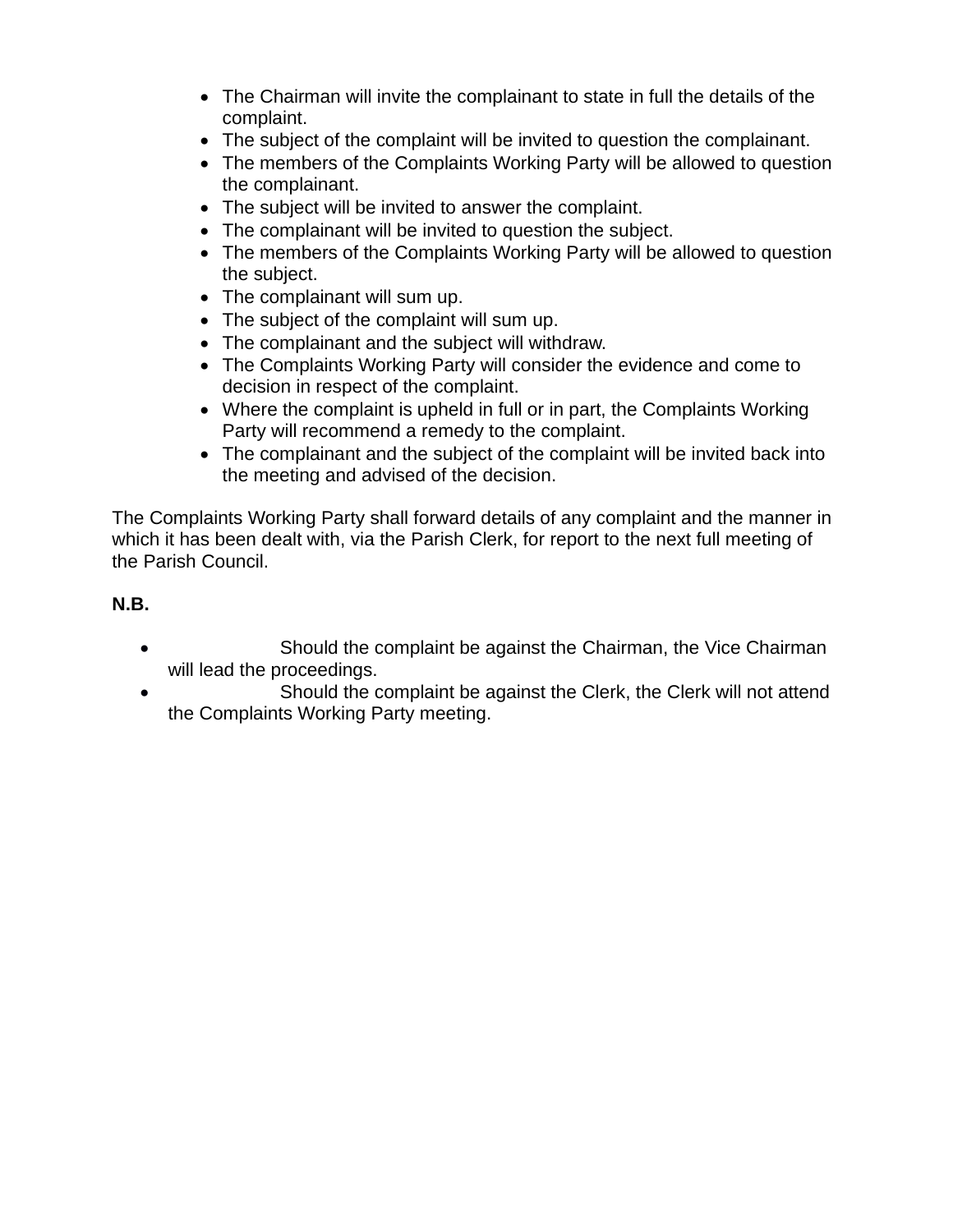- The Chairman will invite the complainant to state in full the details of the complaint.
- The subject of the complaint will be invited to question the complainant.
- The members of the Complaints Working Party will be allowed to question the complainant.
- The subject will be invited to answer the complaint.
- The complainant will be invited to question the subject.
- The members of the Complaints Working Party will be allowed to question the subject.
- The complainant will sum up.
- The subject of the complaint will sum up.
- The complainant and the subject will withdraw.
- The Complaints Working Party will consider the evidence and come to decision in respect of the complaint.
- Where the complaint is upheld in full or in part, the Complaints Working Party will recommend a remedy to the complaint.
- The complainant and the subject of the complaint will be invited back into the meeting and advised of the decision.

The Complaints Working Party shall forward details of any complaint and the manner in which it has been dealt with, via the Parish Clerk, for report to the next full meeting of the Parish Council.

#### **N.B.**

- Should the complaint be against the Chairman, the Vice Chairman will lead the proceedings.
- Should the complaint be against the Clerk, the Clerk will not attend the Complaints Working Party meeting.